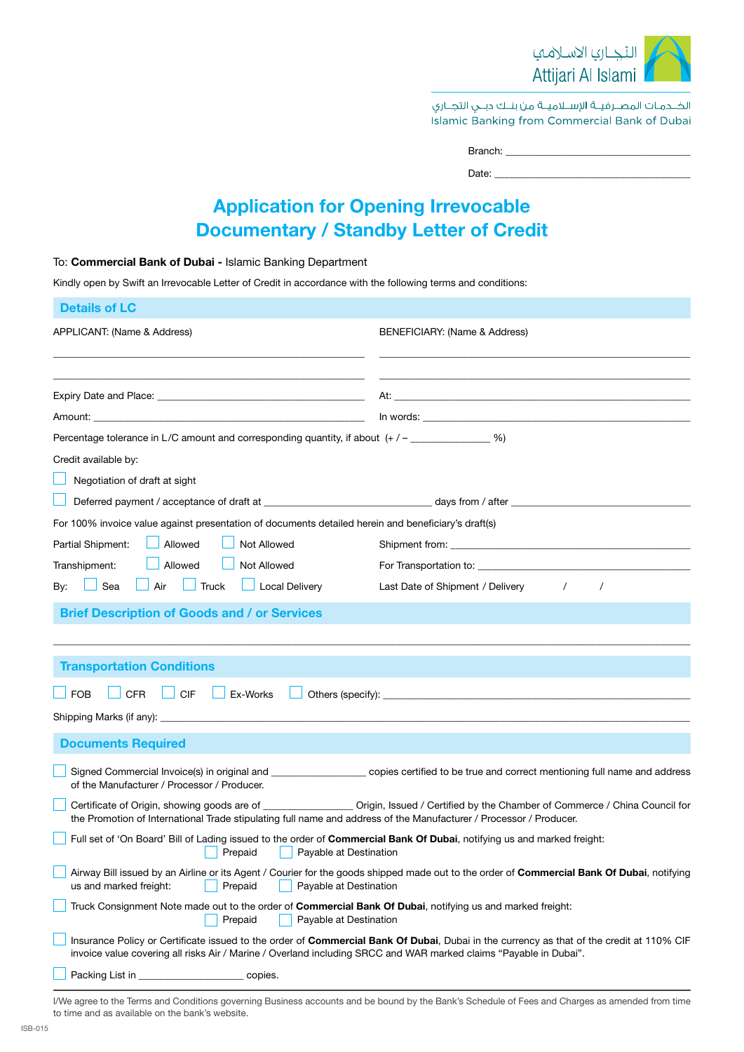

الخــدمـات المصــرفيــة الإســلاميــة من بنــك دبــي التجــاري Islamic Banking from Commercial Bank of Dubai

| Branch: |  |  |  |
|---------|--|--|--|
| Date:   |  |  |  |
|         |  |  |  |

## Application for Opening Irrevocable Documentary / Standby Letter of Credit

### To: Commercial Bank of Dubai - Islamic Banking Department

Kindly open by Swift an Irrevocable Letter of Credit in accordance with the following terms and conditions:

| <b>Details of LC</b>                                                                                                                                                                                                                                              |                                                                                                                                                                                                                                      |  |
|-------------------------------------------------------------------------------------------------------------------------------------------------------------------------------------------------------------------------------------------------------------------|--------------------------------------------------------------------------------------------------------------------------------------------------------------------------------------------------------------------------------------|--|
| APPLICANT: (Name & Address)                                                                                                                                                                                                                                       | BENEFICIARY: (Name & Address)                                                                                                                                                                                                        |  |
|                                                                                                                                                                                                                                                                   |                                                                                                                                                                                                                                      |  |
| <u> 1980 - Johann Stoff, amerikansk politiker (d. 1980)</u>                                                                                                                                                                                                       |                                                                                                                                                                                                                                      |  |
|                                                                                                                                                                                                                                                                   | In words: <u>with the contract of the contract of the contract of the contract of the contract of the contract of the contract of the contract of the contract of the contract of the contract of the contract of the contract o</u> |  |
| Percentage tolerance in L/C amount and corresponding quantity, if about (+/-_____________%)                                                                                                                                                                       |                                                                                                                                                                                                                                      |  |
| Credit available by:                                                                                                                                                                                                                                              |                                                                                                                                                                                                                                      |  |
| Negotiation of draft at sight                                                                                                                                                                                                                                     |                                                                                                                                                                                                                                      |  |
|                                                                                                                                                                                                                                                                   |                                                                                                                                                                                                                                      |  |
| For 100% invoice value against presentation of documents detailed herein and beneficiary's draft(s)                                                                                                                                                               |                                                                                                                                                                                                                                      |  |
| Allowed<br>Not Allowed<br>Partial Shipment:                                                                                                                                                                                                                       |                                                                                                                                                                                                                                      |  |
| Allowed<br>Not Allowed<br>Transhipment:                                                                                                                                                                                                                           |                                                                                                                                                                                                                                      |  |
| $\Box$ Truck<br>$\Box$ Local Delivery<br>$\Box$ Air<br>Sea<br>By:                                                                                                                                                                                                 | Last Date of Shipment / Delivery<br>$\prime$<br>$\prime$                                                                                                                                                                             |  |
| <b>Brief Description of Goods and / or Services</b>                                                                                                                                                                                                               |                                                                                                                                                                                                                                      |  |
|                                                                                                                                                                                                                                                                   |                                                                                                                                                                                                                                      |  |
| <b>Transportation Conditions</b>                                                                                                                                                                                                                                  |                                                                                                                                                                                                                                      |  |
|                                                                                                                                                                                                                                                                   |                                                                                                                                                                                                                                      |  |
| $\Box$ CIF<br>Ex-Works<br><b>CFR</b><br><b>FOB</b>                                                                                                                                                                                                                |                                                                                                                                                                                                                                      |  |
|                                                                                                                                                                                                                                                                   |                                                                                                                                                                                                                                      |  |
| <b>Documents Required</b>                                                                                                                                                                                                                                         |                                                                                                                                                                                                                                      |  |
| of the Manufacturer / Processor / Producer.                                                                                                                                                                                                                       | Signed Commercial Invoice(s) in original and _______________________ copies certified to be true and correct mentioning full name and address                                                                                        |  |
| Certificate of Origin, showing goods are of _____________________ Origin, Issued / Certified by the Chamber of Commerce / China Council for<br>the Promotion of International Trade stipulating full name and address of the Manufacturer / Processor / Producer. |                                                                                                                                                                                                                                      |  |
| Full set of 'On Board' Bill of Lading issued to the order of Commercial Bank Of Dubai, notifying us and marked freight:<br><b>Example 2 Prepaid</b> Payable at Destination                                                                                        |                                                                                                                                                                                                                                      |  |
| Airway Bill issued by an Airline or its Agent / Courier for the goods shipped made out to the order of Commercial Bank Of Dubai, notifying<br>us and marked freight:<br>Prepaid<br>Payable at Destination                                                         |                                                                                                                                                                                                                                      |  |
| Truck Consignment Note made out to the order of Commercial Bank Of Dubai, notifying us and marked freight:<br>Prepaid<br>Payable at Destination                                                                                                                   |                                                                                                                                                                                                                                      |  |
| Insurance Policy or Certificate issued to the order of Commercial Bank Of Dubai, Dubai in the currency as that of the credit at 110% CIF<br>invoice value covering all risks Air / Marine / Overland including SRCC and WAR marked claims "Payable in Dubai".     |                                                                                                                                                                                                                                      |  |
| Packing List in ______________<br>copies.                                                                                                                                                                                                                         |                                                                                                                                                                                                                                      |  |

I/We agree to the Terms and Conditions governing Business accounts and be bound by the Bank's Schedule of Fees and Charges as amended from time to time and as available on the bank's website.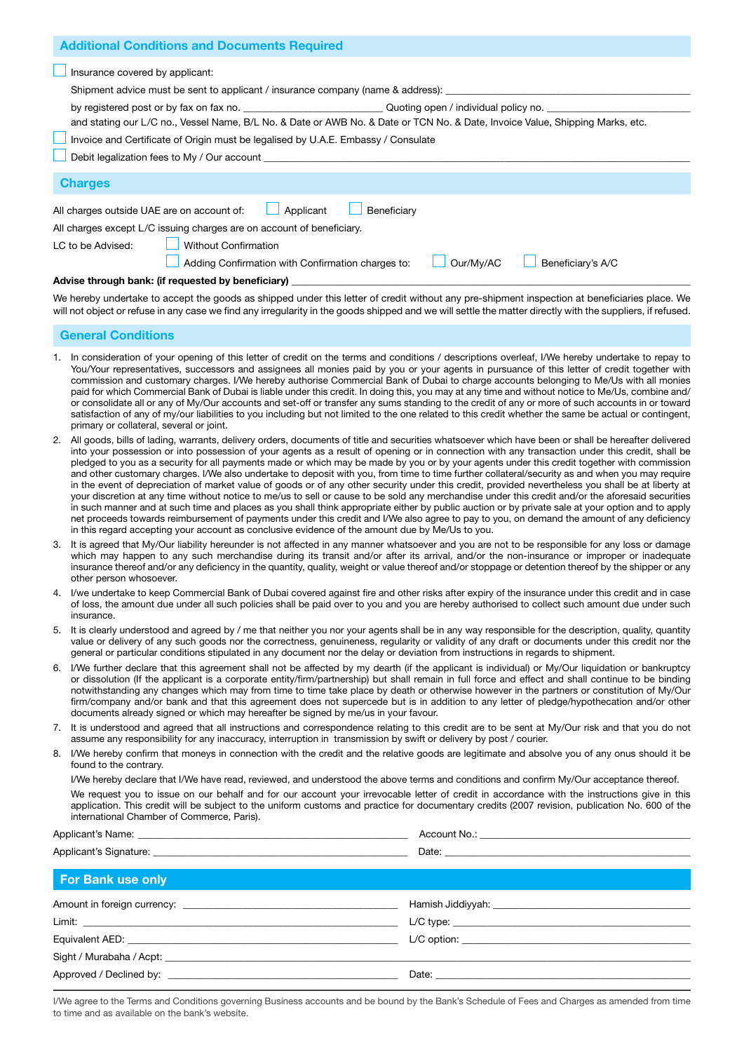| <b>Additional Conditions and Documents Required</b>                                                                           |  |  |  |
|-------------------------------------------------------------------------------------------------------------------------------|--|--|--|
| Insurance covered by applicant:                                                                                               |  |  |  |
| Shipment advice must be sent to applicant / insurance company (name & address):                                               |  |  |  |
|                                                                                                                               |  |  |  |
| and stating our L/C no., Vessel Name, B/L No. & Date or AWB No. & Date or TCN No. & Date, Invoice Value, Shipping Marks, etc. |  |  |  |
| Invoice and Certificate of Origin must be legalised by U.A.E. Embassy / Consulate                                             |  |  |  |
| Debit legalization fees to My / Our account                                                                                   |  |  |  |
| <b>Charges</b>                                                                                                                |  |  |  |
| Applicant<br>All charges outside UAE are on account of:<br>Beneficiary                                                        |  |  |  |
| All charges except L/C issuing charges are on account of beneficiary.                                                         |  |  |  |
| <b>Without Confirmation</b><br>LC to be Advised:                                                                              |  |  |  |
| Our/Mv/AC<br>Adding Confirmation with Confirmation charges to:<br>Beneficiary's A/C                                           |  |  |  |
| Advise through bank: (if requested by beneficiary)                                                                            |  |  |  |

We hereby undertake to accept the goods as shipped under this letter of credit without any pre-shipment inspection at beneficiaries place. We will not object or refuse in any case we find any irregularity in the goods shipped and we will settle the matter directly with the suppliers, if refused.

#### General Conditions

- 1. In consideration of your opening of this letter of credit on the terms and conditions / descriptions overleaf, I/We hereby undertake to repay to You/Your representatives, successors and assignees all monies paid by you or your agents in pursuance of this letter of credit together with commission and customary charges. I/We hereby authorise Commercial Bank of Dubai to charge accounts belonging to Me/Us with all monies paid for which Commercial Bank of Dubai is liable under this credit. In doing this, you may at any time and without notice to Me/Us, combine and/ or consolidate all or any of My/Our accounts and set-off or transfer any sums standing to the credit of any or more of such accounts in or toward satisfaction of any of my/our liabilities to you including but not limited to the one related to this credit whether the same be actual or contingent, primary or collateral, several or joint.
- 2. All goods, bills of lading, warrants, delivery orders, documents of title and securities whatsoever which have been or shall be hereafter delivered into your possession or into possession of your agents as a result of opening or in connection with any transaction under this credit, shall be pledged to you as a security for all payments made or which may be made by you or by your agents under this credit together with commission and other customary charges. I/We also undertake to deposit with you, from time to time further collateral/security as and when you may require in the event of depreciation of market value of goods or of any other security under this credit, provided nevertheless you shall be at liberty at your discretion at any time without notice to me/us to sell or cause to be sold any merchandise under this credit and/or the aforesaid securities in such manner and at such time and places as you shall think appropriate either by public auction or by private sale at your option and to apply net proceeds towards reimbursement of payments under this credit and I/We also agree to pay to you, on demand the amount of any deficiency in this regard accepting your account as conclusive evidence of the amount due by Me/Us to you.
- 3. It is agreed that My/Our liability hereunder is not affected in any manner whatsoever and you are not to be responsible for any loss or damage which may happen to any such merchandise during its transit and/or after its arrival, and/or the non-insurance or improper or inadequate insurance thereof and/or any deficiency in the quantity, quality, weight or value thereof and/or stoppage or detention thereof by the shipper or any other person whosoever.
- 4. I/we undertake to keep Commercial Bank of Dubai covered against fire and other risks after expiry of the insurance under this credit and in case of loss, the amount due under all such policies shall be paid over to you and you are hereby authorised to collect such amount due under such insurance.
- 5. It is clearly understood and agreed by / me that neither you nor your agents shall be in any way responsible for the description, quality, quantity value or delivery of any such goods nor the correctness, genuineness, regularity or validity of any draft or documents under this credit nor the general or particular conditions stipulated in any document nor the delay or deviation from instructions in regards to shipment.
- 6. I/We further declare that this agreement shall not be affected by my dearth (if the applicant is individual) or My/Our liquidation or bankruptcy or dissolution (If the applicant is a corporate entity/firm/partnership) but shall remain in full force and effect and shall continue to be binding notwithstanding any changes which may from time to time take place by death or otherwise however in the partners or constitution of My/Our firm/company and/or bank and that this agreement does not supercede but is in addition to any letter of pledge/hypothecation and/or other documents already signed or which may hereafter be signed by me/us in your favour.
- 7. It is understood and agreed that all instructions and correspondence relating to this credit are to be sent at My/Our risk and that you do not assume any responsibility for any inaccuracy, interruption in transmission by swift or delivery by post / courier.
- 8. I/We hereby confirm that moneys in connection with the credit and the relative goods are legitimate and absolve you of any onus should it be found to the contrary.

I/We hereby declare that I/We have read, reviewed, and understood the above terms and conditions and confirm My/Our acceptance thereof.

We request you to issue on our behalf and for our account your irrevocable letter of credit in accordance with the instructions give in this application. This credit will be subject to the uniform customs and practice for documentary credits (2007 revision, publication No. 600 of the international Chamber of Commerce, Paris).

| <b>For Bank use only</b> |                                     |
|--------------------------|-------------------------------------|
|                          | Hamish Jiddiyyah: Namish Jiddiyyah: |
|                          |                                     |
|                          |                                     |
|                          |                                     |
|                          |                                     |
|                          |                                     |

I/We agree to the Terms and Conditions governing Business accounts and be bound by the Bank's Schedule of Fees and Charges as amended from time to time and as available on the bank's website.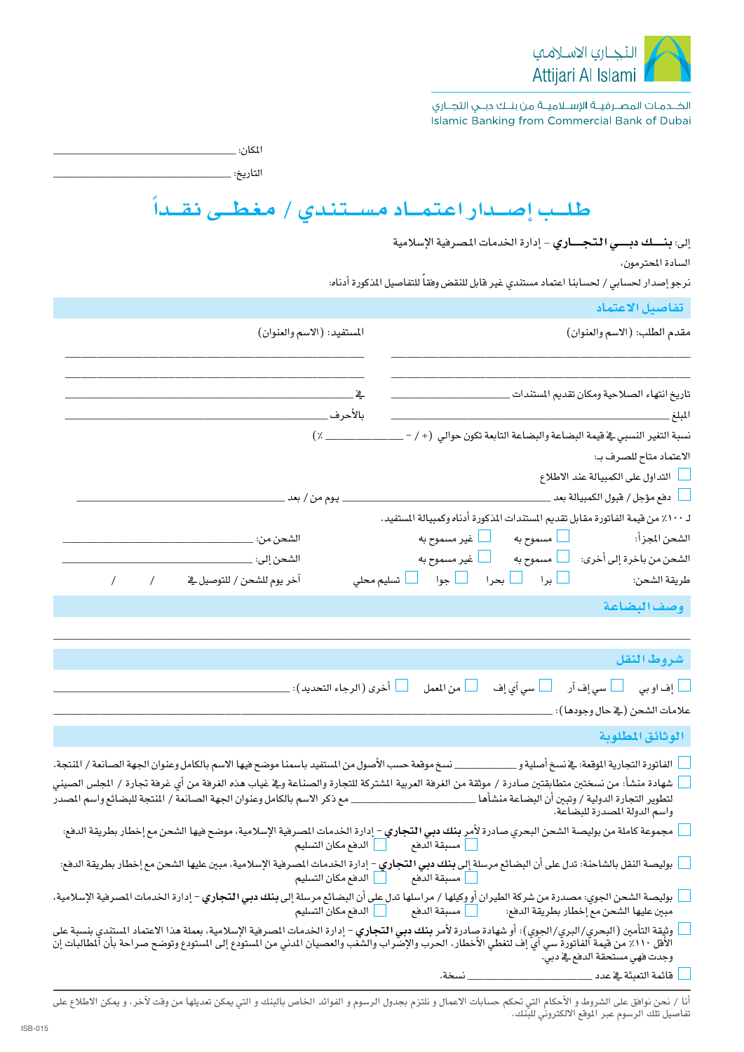

الخــدمـات المصــرفيــة الإســلاميــة من بنــك دبــي التجــاري Islamic Banking from Commercial Bank of Dubai

المكان: \_

التاريخ: \_

# طلب إصدار اعتمـاد مسـتندى / مغطـى نقـداً

إلى: بنسك دبسي التجساري - إدارة الخدمات المصرفية الإسلامية

السادة المحترمون،

.<br>نرجو إصدار لحساب*ي /* لحسابنا اعتماد م*ستند*ي غير قابل للنقض وفقاً للتفاصيل المذكورة أدناه:

|                                                                                                                                                                                                                                                                                                           | تفاصيل الاعتماد                                                                    |
|-----------------------------------------------------------------------------------------------------------------------------------------------------------------------------------------------------------------------------------------------------------------------------------------------------------|------------------------------------------------------------------------------------|
| المستفيد: (الاسم والعنوان)                                                                                                                                                                                                                                                                                | مقدم الطلب: (الاسم والعنوان)                                                       |
|                                                                                                                                                                                                                                                                                                           | تاريخ انتهاء الصلاحية ومكان تقديم المستندات                                        |
| $(x \overline{\phantom{a}})$                                                                                                                                                                                                                                                                              | نسبة التغير النسبي فے قيمة البضاعة والبضاعة التابعة تكون حوالي  (+ / – ___         |
|                                                                                                                                                                                                                                                                                                           | الاعتماد متاح للصرف بـ:                                                            |
|                                                                                                                                                                                                                                                                                                           | أسأ التداول على الكمبيالة عند الاطلاع                                              |
|                                                                                                                                                                                                                                                                                                           | __  دفع مؤجل / فبول الكمبيالة بعد __                                               |
|                                                                                                                                                                                                                                                                                                           | لـ ١٠٠٪ من فيمة الفاتورة مقابل تقديم المستندات المذكورة أدناه وكمبيالة المستفيد.   |
|                                                                                                                                                                                                                                                                                                           | الشحن من باخرة إلى أخرى: لمسلموح به                                                |
|                                                                                                                                                                                                                                                                                                           |                                                                                    |
|                                                                                                                                                                                                                                                                                                           | وصف البضاعة                                                                        |
|                                                                                                                                                                                                                                                                                                           |                                                                                    |
|                                                                                                                                                                                                                                                                                                           | شروط النقل                                                                         |
| ___ أخرى ( الرجاء التحديد ): _____                                                                                                                                                                                                                                                                        | │   إف او بي       │   سي إف آر<br><mark>ـ</mark> من المعمل<br>ے اسی آی <u>إ</u> ف |
|                                                                                                                                                                                                                                                                                                           | علامات الشحن (ڤي حال وجودها): _                                                    |
|                                                                                                                                                                                                                                                                                                           | الوثائق المطلوبة                                                                   |
| نسخ موقعة حسب الأصول من المستفيد باسمنا موضح فيها الاسم بالكامل وعنوان الجهة الصانعة / المنتجة.                                                                                                                                                                                                           | الفاتورة التجارية الموقعة: في نسخ أصلية و _                                        |
| شهادة منشأ: من نسختين متطابقتين صادرة / موثقة من الغرفة العربية المشتركة للتجارة والصناعة وفي غياب هذه الغرفة من أي غرفة تجارة / الجلس الصيني<br>لتطوير التجارة الدولية / وتبين أن البضاعة منشأها ________________________ مع ذكر الاسم بالكامل وعنوان الجهة الصانعة / المنتجة للبضائع واسم المصدر        | واسم الدولة المصدرة للبضاعة.                                                       |
| مجموعة كاملة من بوليصة الشحن البحري صادرة لأمر بنك <b>دبي التجاري</b> – إدارة الخدمات الصرفية الإسلامية، موضح فيها الشحن مع إخطار بطريقة الدفع:<br>الدفع مكان التسليم                                                                                                                                     | مسبقة الدفع                                                                        |
| بوليصة النقل بالشاحنة: تدل على أن البضائع مرسل <mark>ة إلى بنك دبي التجاري</mark> – إدارة الخدمات المصرفية الإسلامية، مبين عليها الشحن مع إخطار بطريقة الدفع:                                                                                                                                             |                                                                                    |
| بوليصة الشحن الجوي: مصدرة من شركة الطيران <u>أو و</u> كيلها / مراسلها تدل <u>على</u> أن البضائع مرسلة إلى <b>بنك دبي التجاري</b> – إدارة الخدمات المصرفية الإسلامية،                                                                                                                                      |                                                                                    |
| وتيقة التأمين (البحري/البري/الجوي): أو شهادة صادرة لأمر <b>بنك دبي التجاري</b> – إدارة الخدمات الصرهية الإسلامية، بعملة هذا الاعتماد المستدي بنسبة على<br>الأفل ١١٠٪ من فيمة الفاتورة سي آي إف لتغطي الأخطار، الحرب والإضراب والشغب والعصيان المدني من المستودع إلى المستودع وتوضح صراحة بأن المطالبات إن | وجدت فهي مستحقة الدفع في دبي.                                                      |
|                                                                                                                                                                                                                                                                                                           | نسخة.<br>قائمة التعبئة في عدد _                                                    |

أنا / نحن نوافق على الشروط و الأحكام التي تحكم حسابات الاعمال و نلتزم بجدول الرسوم و الفوائد الخاص بالبنك و التي يمكن تعديلها من وقت لآخر، و يمكن الاطلاع على<br>تفاصيل تلك الرسوم عبر الموقع الالكتروني للبنك.